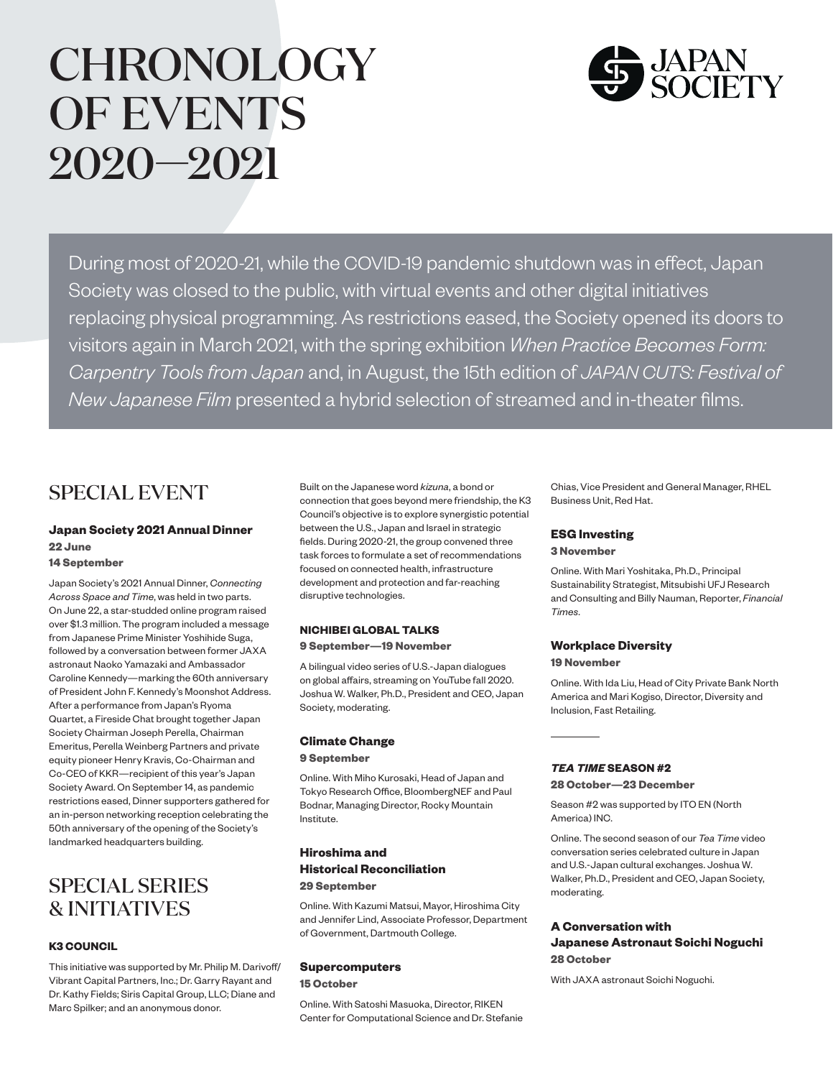# **CHRONOLOGY** OF EVENTS 2020—2021



During most of 2020-21, while the COVID-19 pandemic shutdown was in effect, Japan Society was closed to the public, with virtual events and other digital initiatives replacing physical programming. As restrictions eased, the Society opened its doors to visitors again in March 2021, with the spring exhibition *When Practice Becomes Form: Carpentry Tools from Japan* and, in August, the 15th edition of *JAPAN CUTS: Festival of New Japanese Film* presented a hybrid selection of streamed and in-theater films.

### SPECIAL EVENT

#### **Japan Society 2021 Annual Dinner 22 June**

#### **14 September**

Japan Society's 2021 Annual Dinner, *Connecting Across Space and Time*, was held in two parts. On June 22, a star-studded online program raised over \$1.3 million. The program included a message from Japanese Prime Minister Yoshihide Suga, followed by a conversation between former JAXA astronaut Naoko Yamazaki and Ambassador Caroline Kennedy—marking the 60th anniversary of President John F. Kennedy's Moonshot Address. After a performance from Japan's Ryoma Quartet, a Fireside Chat brought together Japan Society Chairman Joseph Perella, Chairman Emeritus, Perella Weinberg Partners and private equity pioneer Henry Kravis, Co-Chairman and Co-CEO of KKR—recipient of this year's Japan Society Award. On September 14, as pandemic restrictions eased, Dinner supporters gathered for an in-person networking reception celebrating the 50th anniversary of the opening of the Society's landmarked headquarters building.

### SPECIAL SERIES & INITIATIVES

#### **K3 COUNCIL**

This initiative was supported by Mr. Philip M. Darivoff/ Vibrant Capital Partners, Inc.; Dr. Garry Rayant and Dr. Kathy Fields; Siris Capital Group, LLC; Diane and Marc Spilker; and an anonymous donor.

Built on the Japanese word *kizuna*, a bond or connection that goes beyond mere friendship, the K3 Council's objective is to explore synergistic potential between the U.S., Japan and Israel in strategic fields. During 2020-21, the group convened three task forces to formulate a set of recommendations focused on connected health, infrastructure development and protection and far-reaching disruptive technologies.

### **NICHIBEI GLOBAL TALKS**

#### **9 September—19 November**

A bilingual video series of U.S.-Japan dialogues on global affairs, streaming on YouTube fall 2020. Joshua W. Walker, Ph.D., President and CEO, Japan Society, moderating.

#### **Climate Change**

#### **9 September**

Online. With Miho Kurosaki, Head of Japan and Tokyo Research Office, BloombergNEF and Paul Bodnar, Managing Director, Rocky Mountain Institute.

#### **Hiroshima and Historical Reconciliation 29 September**

Online. With Kazumi Matsui, Mayor, Hiroshima City and Jennifer Lind, Associate Professor, Department of Government, Dartmouth College.

#### **Supercomputers**

**15 October**

Online. With Satoshi Masuoka, Director, RIKEN Center for Computational Science and Dr. Stefanie

Chias, Vice President and General Manager, RHEL Business Unit, Red Hat.

#### **ESG Investing**

#### **3 November**

Online. With Mari Yoshitaka, Ph.D., Principal Sustainability Strategist, Mitsubishi UFJ Research and Consulting and Billy Nauman, Reporter, *Financial Times*.

#### **Workplace Diversity**

#### **19 November**

Online. With Ida Liu, Head of City Private Bank North America and Mari Kogiso, Director, Diversity and Inclusion, Fast Retailing.

#### *TEA TIME* **SEASON #2**

**28 October—23 December**

Season #2 was supported by ITO EN (North America) INC.

Online. The second season of our *Tea Time* video conversation series celebrated culture in Japan and U.S.-Japan cultural exchanges. Joshua W. Walker, Ph.D., President and CEO, Japan Society, moderating.

#### **A Conversation with Japanese Astronaut Soichi Noguchi 28 October**

With JAXA astronaut Soichi Noguchi.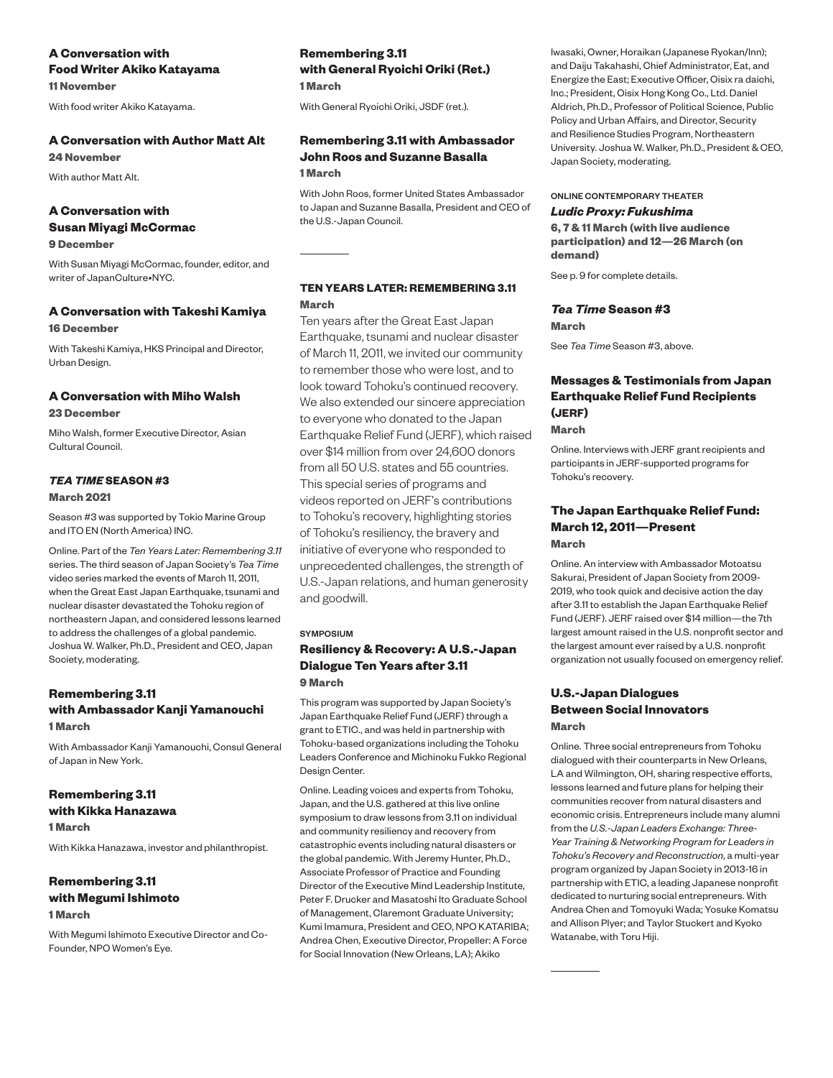### **A Conversation with Food Writer Akiko Katayama**

**11 November**

With food writer Akiko Katayama.

#### **A Conversation with Author Matt Alt**

**24 November**

With author Matt Alt.

#### **A Conversation with**

### **Susan Miyagi McCormac**

**9 December**

With Susan Miyagi McCormac, founder, editor, and writer of JapanCulture•NYC.

#### **A Conversation with Takeshi Kamiya 16 December**

With Takeshi Kamiya, HKS Principal and Director, Urban Design.

#### **A Conversation with Miho Walsh**

**23 December**

Miho Walsh, former Executive Director, Asian Cultural Council.

### *TEA TIME* **SEASON #3**

#### **March 2021**

Season #3 was supported by Tokio Marine Group and ITO EN (North America) INC.

Online. Part of the *Ten Years Later: Remembering 3.11*  series. The third season of Japan Society's *Tea Time*  video series marked the events of March 11, 2011, when the Great East Japan Earthquake, tsunami and nuclear disaster devastated the Tohoku region of northeastern Japan, and considered lessons learned to address the challenges of a global pandemic. Joshua W. Walker, Ph.D., President and CEO, Japan Society, moderating.

#### **Remembering 3.11 with Ambassador Kanji Yamanouchi 1 March**

With Ambassador Kanji Yamanouchi, Consul General of Japan in New York.

#### **Remembering 3.11 with Kikka Hanazawa**

**1 March**

With Kikka Hanazawa, investor and philanthropist.

#### **Remembering 3.11 with Megumi Ishimoto**

#### **1 March**

With Megumi Ishimoto Executive Director and Co-Founder, NPO Women's Eye.

#### **Remembering 3.11 with General Ryoichi Oriki (Ret.) 1 March**

With General Ryoichi Oriki, JSDF (ret.).

#### **Remembering 3.11 with Ambassador John Roos and Suzanne Basalla 1 March**

With John Roos, former United States Ambassador to Japan and Suzanne Basalla, President and CEO of the U.S.-Japan Council.

#### **TEN YEARS LATER: REMEMBERING 3.11 March**

Ten years after the Great East Japan Earthquake, tsunami and nuclear disaster of March 11, 2011, we invited our community to remember those who were lost, and to look toward Tohoku's continued recovery. We also extended our sincere appreciation to everyone who donated to the Japan Earthquake Relief Fund (JERF), which raised over \$14 million from over 24,600 donors from all 50 U.S. states and 55 countries. This special series of programs and videos reported on JERF's contributions to Tohoku's recovery, highlighting stories of Tohoku's resiliency, the bravery and initiative of everyone who responded to unprecedented challenges, the strength of U.S.-Japan relations, and human generosity and goodwill.

#### SYMPOSIUM

#### **Resiliency & Recovery: A U.S.-Japan Dialogue Ten Years after 3.11 9 March**

This program was supported by Japan Society's Japan Earthquake Relief Fund (JERF) through a grant to ETIC., and was held in partnership with Tohoku-based organizations including the Tohoku Leaders Conference and Michinoku Fukko Regional Design Center.

Online. Leading voices and experts from Tohoku, Japan, and the U.S. gathered at this live online symposium to draw lessons from 3.11 on individual and community resiliency and recovery from catastrophic events including natural disasters or the global pandemic. With Jeremy Hunter, Ph.D., Associate Professor of Practice and Founding Director of the Executive Mind Leadership Institute, Peter F. Drucker and Masatoshi Ito Graduate School of Management, Claremont Graduate University; Kumi Imamura, President and CEO, NPO KATARIBA; Andrea Chen, Executive Director, Propeller: A Force for Social Innovation (New Orleans, LA); Akiko

Iwasaki, Owner, Horaikan (Japanese Ryokan/Inn); and Daiju Takahashi, Chief Administrator, Eat, and Energize the East; Executive Officer, Oisix ra daichi, Inc.; President, Oisix Hong Kong Co., Ltd. Daniel Aldrich, Ph.D., Professor of Political Science, Public Policy and Urban Affairs, and Director, Security and Resilience Studies Program, Northeastern University. Joshua W. Walker, Ph.D., President & CEO, Japan Society, moderating.

#### ONLINE CONTEMPORARY THEATER

#### *Ludic Proxy: Fukushima*

**6, 7 & 11 March (with live audience participation) and 12—26 March (on demand)** 

See p. 9 for complete details.

#### *Tea Time* **Season #3**

**March** 

See *Tea Time* Season #3, above.

#### **Messages & Testimonials from Japan Earthquake Relief Fund Recipients (JERF)**

**March** 

Online. Interviews with JERF grant recipients and participants in JERF-supported programs for Tohoku's recovery.

#### **The Japan Earthquake Relief Fund: March 12, 2011—Present March**

Online. An interview with Ambassador Motoatsu Sakurai, President of Japan Society from 2009- 2019, who took quick and decisive action the day after 3.11 to establish the Japan Earthquake Relief Fund (JERF). JERF raised over \$14 million—the 7th largest amount raised in the U.S. nonprofit sector and the largest amount ever raised by a U.S. nonprofit organization not usually focused on emergency relief.

#### **U.S.-Japan Dialogues Between Social Innovators March**

Online. Three social entrepreneurs from Tohoku dialogued with their counterparts in New Orleans, LA and Wilmington, OH, sharing respective efforts, lessons learned and future plans for helping their communities recover from natural disasters and economic crisis. Entrepreneurs include many alumni from the *U.S.-Japan Leaders Exchange: Three-Year Training & Networking Program for Leaders in Tohoku's Recovery and Reconstruction*, a multi-year program organized by Japan Society in 2013-16 in partnership with ETIC, a leading Japanese nonprofit dedicated to nurturing social entrepreneurs. With Andrea Chen and Tomoyuki Wada; Yosuke Komatsu and Allison Plyer; and Taylor Stuckert and Kyoko Watanabe, with Toru Hiji.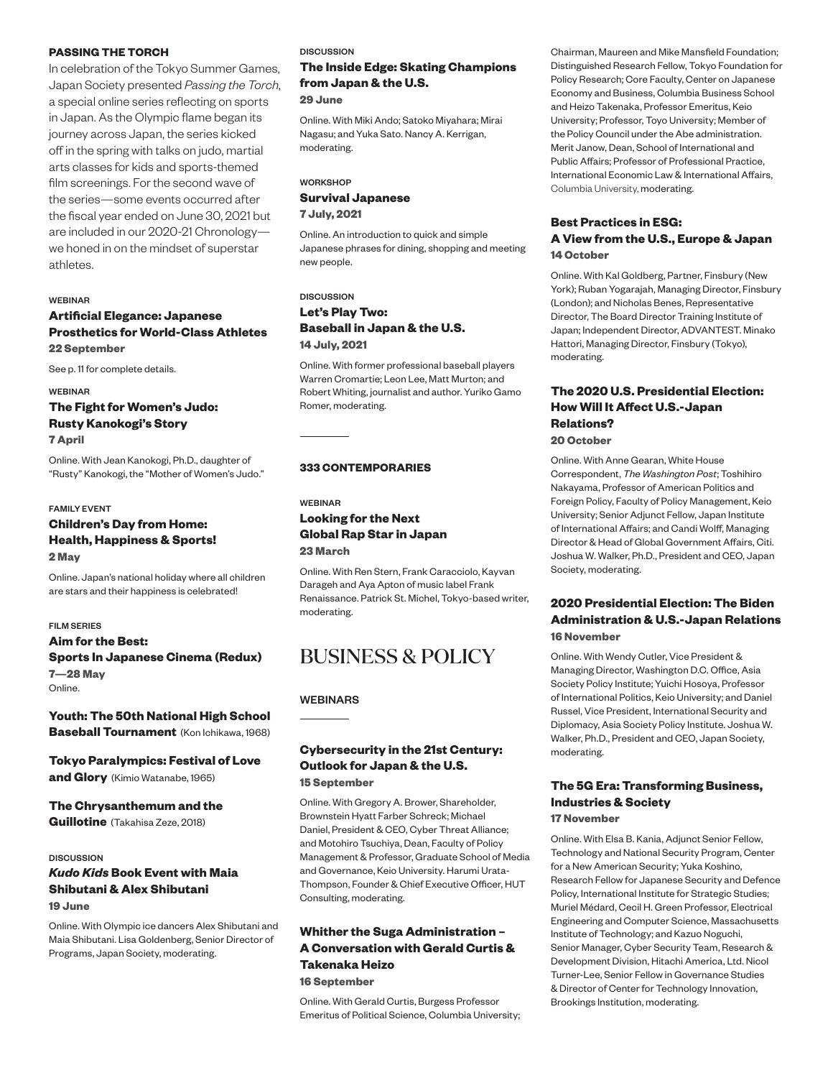#### **PASSING THE TORCH**

In celebration of the Tokyo Summer Games, Japan Society presented *Passing the Torch*, a special online series reflecting on sports in Japan. As the Olympic flame began its journey across Japan, the series kicked off in the spring with talks on judo, martial arts classes for kids and sports-themed film screenings. For the second wave of the series—some events occurred after the fiscal year ended on June 30, 2021 but are included in our 2020-21 Chronology we honed in on the mindset of superstar athletes.

#### **WERINAR**

#### **Artificial Elegance: Japanese Prosthetics for World-Class Athletes 22 September**

See p. 11 for complete details.

WEBINAR **The Fight for Women's Judo: Rusty Kanokogi's Story 7 April**

Online. With Jean Kanokogi, Ph.D., daughter of "Rusty" Kanokogi, the "Mother of Women's Judo."

#### FAMILY EVENT

#### **Children's Day from Home: Health, Happiness & Sports! 2 May**

Online. Japan's national holiday where all children are stars and their happiness is celebrated!

#### FILM SERIES

#### **Aim for the Best: Sports In Japanese Cinema (Redux) 7—28 May** Online.

**Youth: The 50th National High School Baseball Tournament** (Kon Ichikawa, 1968)

**Tokyo Paralympics: Festival of Love and Glory** (Kimio Watanabe, 1965)

#### **The Chrysanthemum and the**

**Guillotine** (Takahisa Zeze, 2018)

#### **DISCUSSION**

#### *Kudo Kids* **Book Event with Maia Shibutani & Alex Shibutani 19 June**

Online. With Olympic ice dancers Alex Shibutani and Maia Shibutani. Lisa Goldenberg, Senior Director of Programs, Japan Society, moderating.

#### DISCUSSION

#### **The Inside Edge: Skating Champions from Japan & the U.S.**

#### **29 June**

Online. With Miki Ando; Satoko Miyahara; Mirai Nagasu; and Yuka Sato. Nancy A. Kerrigan, moderating.

#### **WORKSHOP Survival Japanese 7 July, 2021**

Online. An introduction to quick and simple Japanese phrases for dining, shopping and meeting new people.

#### **DISCUSSION Let's Play Two: Baseball in Japan & the U.S. 14 July, 2021**

Online. With former professional baseball players Warren Cromartie; Leon Lee, Matt Murton; and Robert Whiting, journalist and author. Yuriko Gamo Romer, moderating.

#### **333 CONTEMPORARIES**

#### WEBINAR **Looking for the Next Global Rap Star in Japan 23 March**

Online. With Ren Stern, Frank Caracciolo, Kayvan Darageh and Aya Apton of music label Frank Renaissance. Patrick St. Michel, Tokyo-based writer, moderating.

### BUSINESS & POLICY

#### WEBINARS

#### **Cybersecurity in the 21st Century: Outlook for Japan & the U.S. 15 September**

#### Online. With Gregory A. Brower, Shareholder, Brownstein Hyatt Farber Schreck; Michael Daniel, President & CEO, Cyber Threat Alliance; and Motohiro Tsuchiya, Dean, Faculty of Policy Management & Professor, Graduate School of Media and Governance, Keio University. Harumi Urata-Thompson, Founder & Chief Executive Officer, HUT Consulting, moderating.

#### **Whither the Suga Administration – A Conversation with Gerald Curtis & Takenaka Heizo 16 September**

Online. With Gerald Curtis, Burgess Professor Emeritus of Political Science, Columbia University;

Chairman, Maureen and Mike Mansfield Foundation; Distinguished Research Fellow, Tokyo Foundation for Policy Research; Core Faculty, Center on Japanese Economy and Business, Columbia Business School and Heizo Takenaka, Professor Emeritus, Keio University; Professor, Toyo University; Member of the Policy Council under the Abe administration. Merit Janow, Dean, School of International and Public Affairs; Professor of Professional Practice, International Economic Law & International Affairs, Columbia University, moderating.

#### **Best Practices in ESG: A View from the U.S., Europe & Japan 14 October**

Online. With Kal Goldberg, Partner, Finsbury (New York); Ruban Yogarajah, Managing Director, Finsbury (London); and Nicholas Benes, Representative Director, The Board Director Training Institute of Japan; Independent Director, ADVANTEST. Minako Hattori, Managing Director, Finsbury (Tokyo), moderating.

#### **The 2020 U.S. Presidential Election: How Will It Affect U.S.-Japan Relations? 20 October**

Online. With Anne Gearan, White House Correspondent, *The Washington Post*; Toshihiro Nakayama, Professor of American Politics and Foreign Policy, Faculty of Policy Management, Keio University; Senior Adjunct Fellow, Japan Institute of International Affairs; and Candi Wolff, Managing Director & Head of Global Government Affairs, Citi. Joshua W. Walker, Ph.D., President and CEO, Japan Society, moderating.

#### **2020 Presidential Election: The Biden Administration & U.S.-Japan Relations 16 November**

Online. With Wendy Cutler, Vice President & Managing Director, Washington D.C. Office, Asia Society Policy Institute; Yuichi Hosoya, Professor of International Politics, Keio University; and Daniel Russel, Vice President, International Security and Diplomacy, Asia Society Policy Institute. Joshua W. Walker, Ph.D., President and CEO, Japan Society, moderating.

#### **The 5G Era: Transforming Business, Industries & Society**

**17 November** 

Online. With Elsa B. Kania, Adjunct Senior Fellow, Technology and National Security Program, Center for a New American Security; Yuka Koshino, Research Fellow for Japanese Security and Defence Policy, International Institute for Strategic Studies; Muriel Médard, Cecil H. Green Professor, Electrical Engineering and Computer Science, Massachusetts Institute of Technology; and Kazuo Noguchi, Senior Manager, Cyber Security Team, Research & Development Division, Hitachi America, Ltd. Nicol Turner-Lee, Senior Fellow in Governance Studies & Director of Center for Technology Innovation, Brookings Institution, moderating.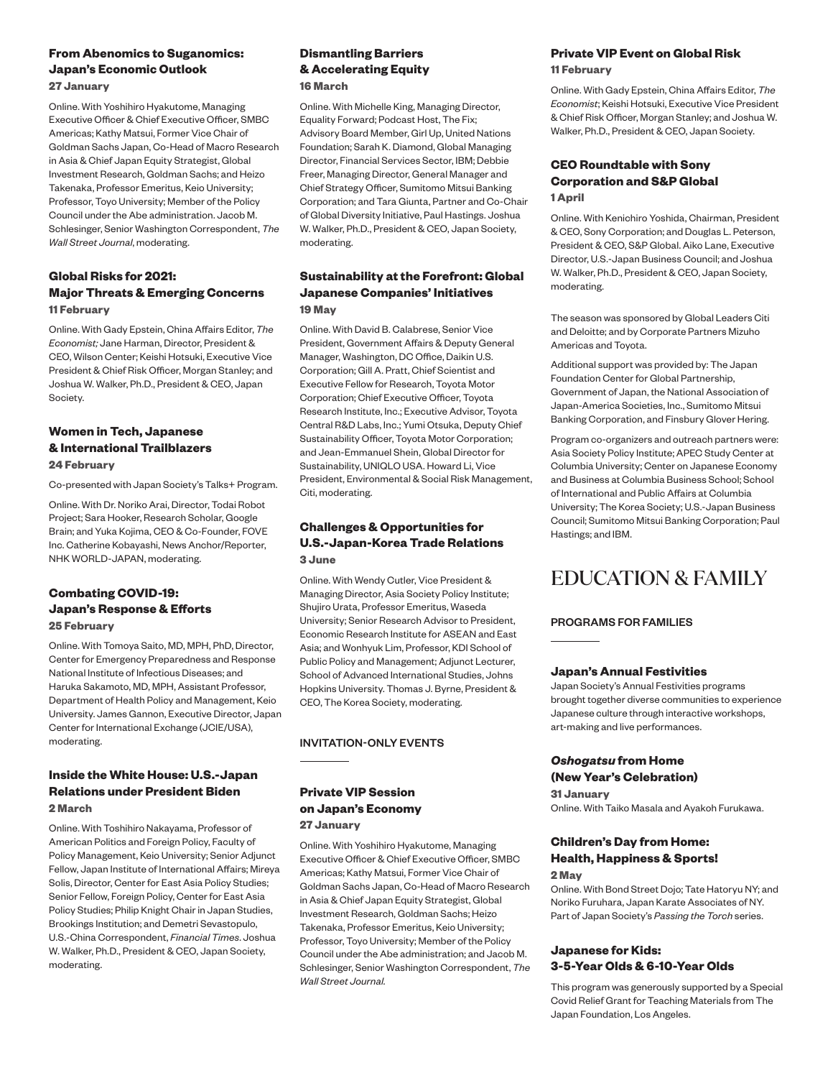#### **From Abenomics to Suganomics: Japan's Economic Outlook 27 January**

Online. With Yoshihiro Hyakutome, Managing Executive Officer & Chief Executive Officer, SMBC Americas; Kathy Matsui, Former Vice Chair of Goldman Sachs Japan, Co-Head of Macro Research in Asia & Chief Japan Equity Strategist, Global Investment Research, Goldman Sachs; and Heizo Takenaka, Professor Emeritus, Keio University; Professor, Toyo University; Member of the Policy Council under the Abe administration. Jacob M. Schlesinger, Senior Washington Correspondent, *The Wall Street Journal*, moderating.

#### **Global Risks for 2021: Major Threats & Emerging Concerns 11 February**

Online. With Gady Epstein, China Affairs Editor, *The Economist;* Jane Harman, Director, President & CEO, Wilson Center; Keishi Hotsuki, Executive Vice President & Chief Risk Officer, Morgan Stanley; and Joshua W. Walker, Ph.D., President & CEO, Japan Society.

#### **Women in Tech, Japanese & International Trailblazers 24 February**

Co-presented with Japan Society's Talks+ Program.

Online. With Dr. Noriko Arai, Director, Todai Robot Project; Sara Hooker, Research Scholar, Google Brain; and Yuka Kojima, CEO & Co-Founder, FOVE Inc. Catherine Kobayashi, News Anchor/Reporter, NHK WORLD-JAPAN, moderating.

#### **Combating COVID-19: Japan's Response & Efforts 25 February**

Online. With Tomoya Saito, MD, MPH, PhD, Director, Center for Emergency Preparedness and Response National Institute of Infectious Diseases; and Haruka Sakamoto, MD, MPH, Assistant Professor, Department of Health Policy and Management, Keio University. James Gannon, Executive Director, Japan Center for International Exchange (JCIE/USA), moderating.

#### **Inside the White House: U.S.-Japan Relations under President Biden 2 March**

Online. With Toshihiro Nakayama, Professor of American Politics and Foreign Policy, Faculty of Policy Management, Keio University; Senior Adjunct Fellow, Japan Institute of International Affairs; Mireya Solis, Director, Center for East Asia Policy Studies; Senior Fellow, Foreign Policy, Center for East Asia Policy Studies; Philip Knight Chair in Japan Studies, Brookings Institution; and Demetri Sevastopulo, U.S.-China Correspondent, *Financial Times*. Joshua W. Walker, Ph.D., President & CEO, Japan Society, moderating.

#### **Dismantling Barriers & Accelerating Equity 16 March**

Online. With Michelle King, Managing Director, Equality Forward; Podcast Host, The Fix; Advisory Board Member, Girl Up, United Nations Foundation; Sarah K. Diamond, Global Managing Director, Financial Services Sector, IBM; Debbie Freer, Managing Director, General Manager and Chief Strategy Officer, Sumitomo Mitsui Banking Corporation; and Tara Giunta, Partner and Co-Chair of Global Diversity Initiative, Paul Hastings. Joshua W. Walker, Ph.D., President & CEO, Japan Society, moderating.

#### **Sustainability at the Forefront: Global Japanese Companies' Initiatives 19 May**

Online. With David B. Calabrese, Senior Vice President, Government Affairs & Deputy General Manager, Washington, DC Office, Daikin U.S. Corporation; Gill A. Pratt, Chief Scientist and Executive Fellow for Research, Toyota Motor Corporation; Chief Executive Officer, Toyota Research Institute, Inc.; Executive Advisor, Toyota Central R&D Labs, Inc.; Yumi Otsuka, Deputy Chief Sustainability Officer, Toyota Motor Corporation; and Jean-Emmanuel Shein, Global Director for Sustainability, UNIQLO USA. Howard Li, Vice President, Environmental & Social Risk Management, Citi, moderating.

#### **Challenges & Opportunities for U.S.-Japan-Korea Trade Relations 3 June**

Online. With Wendy Cutler, Vice President & Managing Director, Asia Society Policy Institute; Shujiro Urata, Professor Emeritus, Waseda University; Senior Research Advisor to President, Economic Research Institute for ASEAN and East Asia; and Wonhyuk Lim, Professor, KDI School of Public Policy and Management; Adjunct Lecturer, School of Advanced International Studies, Johns Hopkins University. Thomas J. Byrne, President & CEO, The Korea Society, moderating.

#### INVITATION-ONLY EVENTS

#### **Private VIP Session on Japan's Economy 27 January**

Online. With Yoshihiro Hyakutome, Managing Executive Officer & Chief Executive Officer, SMBC Americas; Kathy Matsui, Former Vice Chair of Goldman Sachs Japan, Co-Head of Macro Research in Asia & Chief Japan Equity Strategist, Global Investment Research, Goldman Sachs; Heizo Takenaka, Professor Emeritus, Keio University; Professor, Toyo University; Member of the Policy Council under the Abe administration; and Jacob M. Schlesinger, Senior Washington Correspondent, *The Wall Street Journal.* 

#### **Private VIP Event on Global Risk 11 February**

Online. With Gady Epstein, China Affairs Editor, *The Economist*; Keishi Hotsuki, Executive Vice President & Chief Risk Officer, Morgan Stanley; and Joshua W. Walker, Ph.D., President & CEO, Japan Society.

#### **CEO Roundtable with Sony Corporation and S&P Global 1 April**

Online. With Kenichiro Yoshida, Chairman, President & CEO, Sony Corporation; and Douglas L. Peterson, President & CEO, S&P Global. Aiko Lane, Executive Director, U.S.-Japan Business Council; and Joshua W. Walker, Ph.D., President & CEO, Japan Society, moderating.

The season was sponsored by Global Leaders Citi and Deloitte; and by Corporate Partners Mizuho Americas and Toyota.

Additional support was provided by: The Japan Foundation Center for Global Partnership, Government of Japan, the National Association of Japan-America Societies, Inc., Sumitomo Mitsui Banking Corporation, and Finsbury Glover Hering.

Program co-organizers and outreach partners were: Asia Society Policy Institute; APEC Study Center at Columbia University; Center on Japanese Economy and Business at Columbia Business School; School of International and Public Affairs at Columbia University; The Korea Society; U.S.-Japan Business Council; Sumitomo Mitsui Banking Corporation; Paul Hastings; and IBM.

### EDUCATION & FAMILY

#### PROGRAMS FOR FAMILIES

#### **Japan's Annual Festivities**

Japan Society's Annual Festivities programs brought together diverse communities to experience Japanese culture through interactive workshops, art-making and live performances.

#### *Oshogatsu* **from Home (New Year's Celebration)**

**31 January** Online. With Taiko Masala and Ayakoh Furukawa.

#### **Children's Day from Home: Health, Happiness & Sports!**

**2 May**

Online. With Bond Street Dojo; Tate Hatoryu NY; and Noriko Furuhara, Japan Karate Associates of NY. Part of Japan Society's *Passing the Torch* series.

#### **Japanese for Kids: 3-5-Year Olds & 6-10-Year Olds**

This program was generously supported by a Special Covid Relief Grant for Teaching Materials from The Japan Foundation, Los Angeles.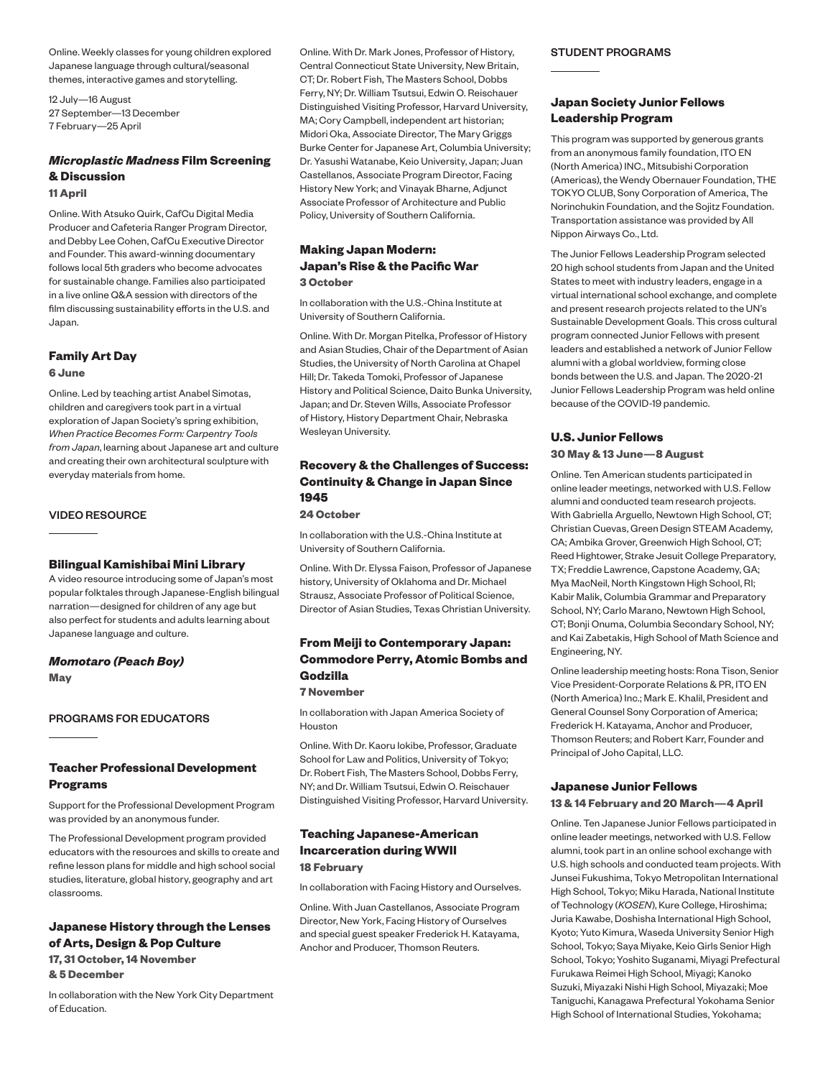Online. Weekly classes for young children explored Japanese language through cultural/seasonal themes, interactive games and storytelling.

12 July—16 August 27 September—13 December 7 February—25 April

#### *Microplastic Madness* **Film Screening & Discussion 11 April**

Online. With Atsuko Quirk, CafCu Digital Media Producer and Cafeteria Ranger Program Director, and Debby Lee Cohen, CafCu Executive Director and Founder. This award-winning documentary follows local 5th graders who become advocates for sustainable change. Families also participated in a live online Q&A session with directors of the film discussing sustainability efforts in the U.S. and Japan.

#### **Family Art Day**

**6 June**

Online. Led by teaching artist Anabel Simotas, children and caregivers took part in a virtual exploration of Japan Society's spring exhibition, *When Practice Becomes Form: Carpentry Tools from Japan*, learning about Japanese art and culture and creating their own architectural sculpture with everyday materials from home.

#### VIDEO RESOURCE

#### **Bilingual Kamishibai Mini Library**

A video resource introducing some of Japan's most popular folktales through Japanese-English bilingual narration—designed for children of any age but also perfect for students and adults learning about Japanese language and culture.

*Momotaro (Peach Boy)* **May**

#### PROGRAMS FOR EDUCATORS

#### **Teacher Professional Development Programs**

Support for the Professional Development Program was provided by an anonymous funder.

The Professional Development program provided educators with the resources and skills to create and refine lesson plans for middle and high school social studies, literature, global history, geography and art classrooms.

#### **Japanese History through the Lenses of Arts, Design & Pop Culture**

**17, 31 October, 14 November & 5 December**

In collaboration with the New York City Department of Education.

Online. With Dr. Mark Jones, Professor of History, Central Connecticut State University, New Britain, CT; Dr. Robert Fish, The Masters School, Dobbs Ferry, NY; Dr. William Tsutsui, Edwin O. Reischauer Distinguished Visiting Professor, Harvard University, MA; Cory Campbell, independent art historian; Midori Oka, Associate Director, The Mary Griggs Burke Center for Japanese Art, Columbia University; Dr. Yasushi Watanabe, Keio University, Japan; Juan Castellanos, Associate Program Director, Facing History New York; and Vinayak Bharne, Adjunct Associate Professor of Architecture and Public Policy, University of Southern California.

#### **Making Japan Modern: Japan's Rise & the Pacific War 3 October**

In collaboration with the U.S.-China Institute at University of Southern California.

Online. With Dr. Morgan Pitelka, Professor of History and Asian Studies, Chair of the Department of Asian Studies, the University of North Carolina at Chapel Hill; Dr. Takeda Tomoki, Professor of Japanese History and Political Science, Daito Bunka University, Japan; and Dr. Steven Wills, Associate Professor of History, History Department Chair, Nebraska Wesleyan University.

#### **Recovery & the Challenges of Success: Continuity & Change in Japan Since 1945**

#### **24 October**

In collaboration with the U.S.-China Institute at University of Southern California.

Online. With Dr. Elyssa Faison, Professor of Japanese history, University of Oklahoma and Dr. Michael Strausz, Associate Professor of Political Science, Director of Asian Studies, Texas Christian University.

#### **From Meiji to Contemporary Japan: Commodore Perry, Atomic Bombs and Godzilla**

#### **7 November**

In collaboration with Japan America Society of Houston

Online. With Dr. Kaoru Iokibe, Professor, Graduate School for Law and Politics, University of Tokyo; Dr. Robert Fish, The Masters School, Dobbs Ferry, NY; and Dr. William Tsutsui, Edwin O. Reischauer Distinguished Visiting Professor, Harvard University.

#### **Teaching Japanese-American Incarceration during WWII 18 February**

In collaboration with Facing History and Ourselves.

Online. With Juan Castellanos, Associate Program Director, New York, Facing History of Ourselves and special guest speaker Frederick H. Katayama, Anchor and Producer, Thomson Reuters.

#### STUDENT PROGRAMS

#### **Japan Society Junior Fellows Leadership Program**

This program was supported by generous grants from an anonymous family foundation, ITO EN (North America) INC., Mitsubishi Corporation (Americas), the Wendy Obernauer Foundation, THE TOKYO CLUB, Sony Corporation of America, The Norinchukin Foundation, and the Sojitz Foundation. Transportation assistance was provided by All Nippon Airways Co., Ltd.

The Junior Fellows Leadership Program selected 20 high school students from Japan and the United States to meet with industry leaders, engage in a virtual international school exchange, and complete and present research projects related to the UN's Sustainable Development Goals. This cross cultural program connected Junior Fellows with present leaders and established a network of Junior Fellow alumni with a global worldview, forming close bonds between the U.S. and Japan. The 2020-21 Junior Fellows Leadership Program was held online because of the COVID-19 pandemic.

#### **U.S. Junior Fellows**

#### **30 May & 13 June—8 August**

Online. Ten American students participated in online leader meetings, networked with U.S. Fellow alumni and conducted team research projects. With Gabriella Arguello, Newtown High School, CT; Christian Cuevas, Green Design STEAM Academy, CA; Ambika Grover, Greenwich High School, CT; Reed Hightower, Strake Jesuit College Preparatory, TX; Freddie Lawrence, Capstone Academy, GA; Mya MacNeil, North Kingstown High School, RI; Kabir Malik, Columbia Grammar and Preparatory School, NY; Carlo Marano, Newtown High School, CT; Bonji Onuma, Columbia Secondary School, NY; and Kai Zabetakis, High School of Math Science and Engineering, NY.

Online leadership meeting hosts: Rona Tison, Senior Vice President-Corporate Relations & PR, ITO EN (North America) Inc.; Mark E. Khalil, President and General Counsel Sony Corporation of America; Frederick H. Katayama, Anchor and Producer, Thomson Reuters; and Robert Karr, Founder and Principal of Joho Capital, LLC.

#### **Japanese Junior Fellows**

#### **13 & 14 February and 20 March—4 April**

Online. Ten Japanese Junior Fellows participated in online leader meetings, networked with U.S. Fellow alumni, took part in an online school exchange with U.S. high schools and conducted team projects. With Junsei Fukushima, Tokyo Metropolitan International High School, Tokyo; Miku Harada, National Institute of Technology (*KOSEN*), Kure College, Hiroshima; Juria Kawabe, Doshisha International High School, Kyoto; Yuto Kimura, Waseda University Senior High School, Tokyo; Saya Miyake, Keio Girls Senior High School, Tokyo; Yoshito Suganami, Miyagi Prefectural Furukawa Reimei High School, Miyagi; Kanoko Suzuki, Miyazaki Nishi High School, Miyazaki; Moe Taniguchi, Kanagawa Prefectural Yokohama Senior High School of International Studies, Yokohama;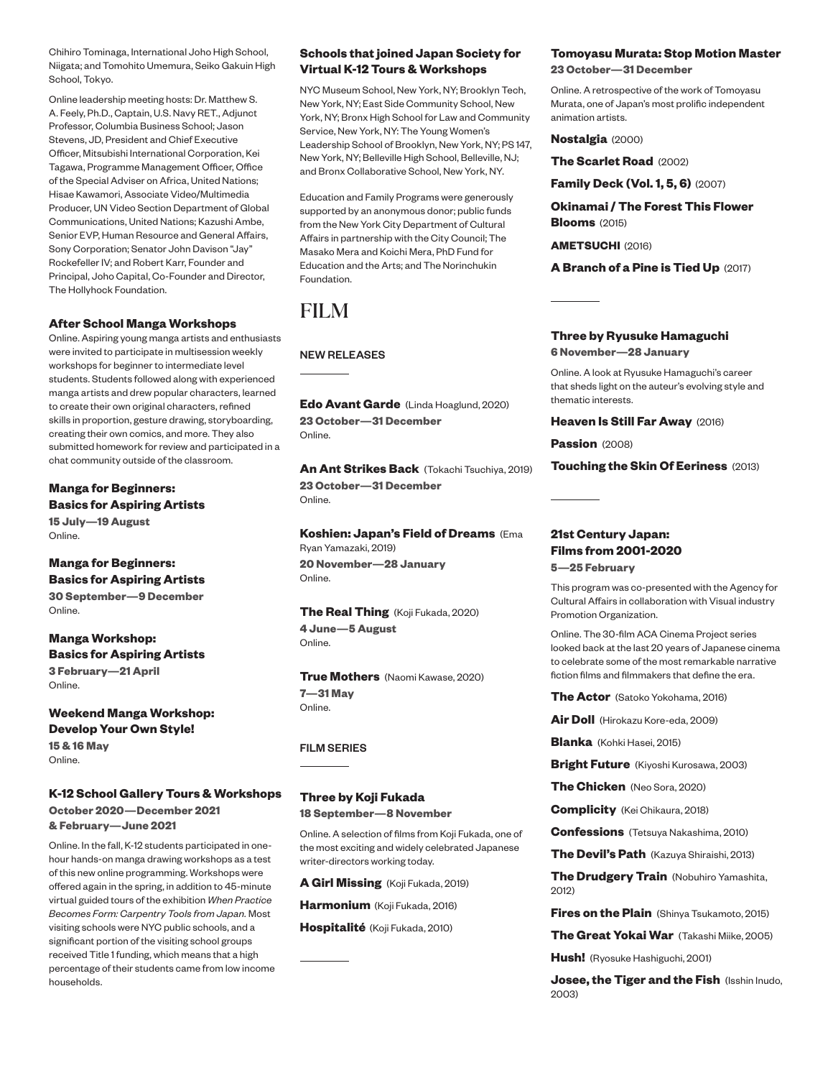Chihiro Tominaga, International Joho High School, Niigata; and Tomohito Umemura, Seiko Gakuin High School, Tokyo.

Online leadership meeting hosts: Dr. Matthew S. A. Feely, Ph.D., Captain, U.S. Navy RET., Adjunct Professor, Columbia Business School; Jason Stevens, JD, President and Chief Executive Officer, Mitsubishi International Corporation, Kei Tagawa, Programme Management Officer, Office of the Special Adviser on Africa, United Nations; Hisae Kawamori, Associate Video/Multimedia Producer, UN Video Section Department of Global Communications, United Nations; Kazushi Ambe, Senior EVP, Human Resource and General Affairs, Sony Corporation; Senator John Davison "Jay" Rockefeller IV; and Robert Karr, Founder and Principal, Joho Capital, Co-Founder and Director, The Hollyhock Foundation.

#### **After School Manga Workshops**

Online. Aspiring young manga artists and enthusiasts were invited to participate in multisession weekly workshops for beginner to intermediate level students. Students followed along with experienced manga artists and drew popular characters, learned to create their own original characters, refined skills in proportion, gesture drawing, storyboarding, creating their own comics, and more. They also submitted homework for review and participated in a chat community outside of the classroom.

**Manga for Beginners: Basics for Aspiring Artists 15 July—19 August**

Online.

**Manga for Beginners: Basics for Aspiring Artists 30 September—9 December** Online.

**Manga Workshop: Basics for Aspiring Artists 3 February—21 April** Online.

**Weekend Manga Workshop: Develop Your Own Style! 15 & 16 May** Online.

**K-12 School Gallery Tours & Workshops October 2020—December 2021 & February—June 2021** 

Online. In the fall, K-12 students participated in onehour hands-on manga drawing workshops as a test of this new online programming. Workshops were offered again in the spring, in addition to 45-minute virtual guided tours of the exhibition *When Practice Becomes Form: Carpentry Tools from Japan.* Most visiting schools were NYC public schools, and a significant portion of the visiting school groups received Title 1 funding, which means that a high percentage of their students came from low income households.

#### **Schools that joined Japan Society for Virtual K-12 Tours & Workshops**

NYC Museum School, New York, NY; Brooklyn Tech, New York, NY; East Side Community School, New York, NY; Bronx High School for Law and Community Service, New York, NY: The Young Women's Leadership School of Brooklyn, New York, NY; PS 147, New York, NY; Belleville High School, Belleville, NJ; and Bronx Collaborative School, New York, NY.

Education and Family Programs were generously supported by an anonymous donor; public funds from the New York City Department of Cultural Affairs in partnership with the City Council; The Masako Mera and Koichi Mera, PhD Fund for Education and the Arts; and The Norinchukin Foundation.

### FILM

NEW RELEASES

**Edo Avant Garde** (Linda Hoaglund, 2020) **23 October—31 December** Online.

**An Ant Strikes Back** (Tokachi Tsuchiya, 2019) **23 October—31 December** Online.

**Koshien: Japan's Field of Dreams** (Ema Ryan Yamazaki, 2019)

**20 November—28 January** Online.

**The Real Thing** (Koji Fukada, 2020) **4 June—5 August** Online.

**True Mothers** (Naomi Kawase, 2020) **7—31 May** Online.

#### FILM SERIES

#### **Three by Koji Fukada**

**18 September—8 November**

Online. A selection of films from Koji Fukada, one of the most exciting and widely celebrated Japanese writer-directors working today.

**A Girl Missing** (Koji Fukada, 2019)

**Harmonium** (Koji Fukada, 2016)

**Hospitalité** (Koji Fukada, 2010)

#### **Tomoyasu Murata: Stop Motion Master 23 October—31 December**

Online. A retrospective of the work of Tomoyasu Murata, one of Japan's most prolific independent animation artists.

**Nostalgia** (2000)

**The Scarlet Road** (2002)

**Family Deck (Vol. 1, 5, 6)** (2007)

**Okinamai / The Forest This Flower Blooms** (2015)

**AMETSUCHI** (2016)

**A Branch of a Pine is Tied Up** (2017)

#### **Three by Ryusuke Hamaguchi**

**6 November—28 January**

Online. A look at Ryusuke Hamaguchi's career that sheds light on the auteur's evolving style and thematic interests.

#### **Heaven Is Still Far Away** (2016)

Passion (2008)

**Touching the Skin Of Eeriness** (2013)

#### **21st Century Japan: Films from 2001-2020**

**5—25 February**

This program was co-presented with the Agency for Cultural Affairs in collaboration with Visual industry Promotion Organization.

Online. The 30-film ACA Cinema Project series looked back at the last 20 years of Japanese cinema to celebrate some of the most remarkable narrative fiction films and filmmakers that define the era.

**The Actor** (Satoko Yokohama, 2016)

**Air Doll** (Hirokazu Kore-eda, 2009)

**Blanka** (Kohki Hasei, 2015)

**Bright Future** (Kiyoshi Kurosawa, 2003)

**The Chicken** (Neo Sora, 2020)

**Complicity** (Kei Chikaura, 2018)

**Confessions** (Tetsuya Nakashima, 2010)

**The Devil's Path** (Kazuya Shiraishi, 2013)

**The Drudgery Train** (Nobuhiro Yamashita, 2012)

**Fires on the Plain** (Shinya Tsukamoto, 2015)

**The Great Yokai War** (Takashi Miike, 2005)

**Hush!** (Ryosuke Hashiguchi, 2001)

**Josee, the Tiger and the Fish** (Isshin Inudo, 2003)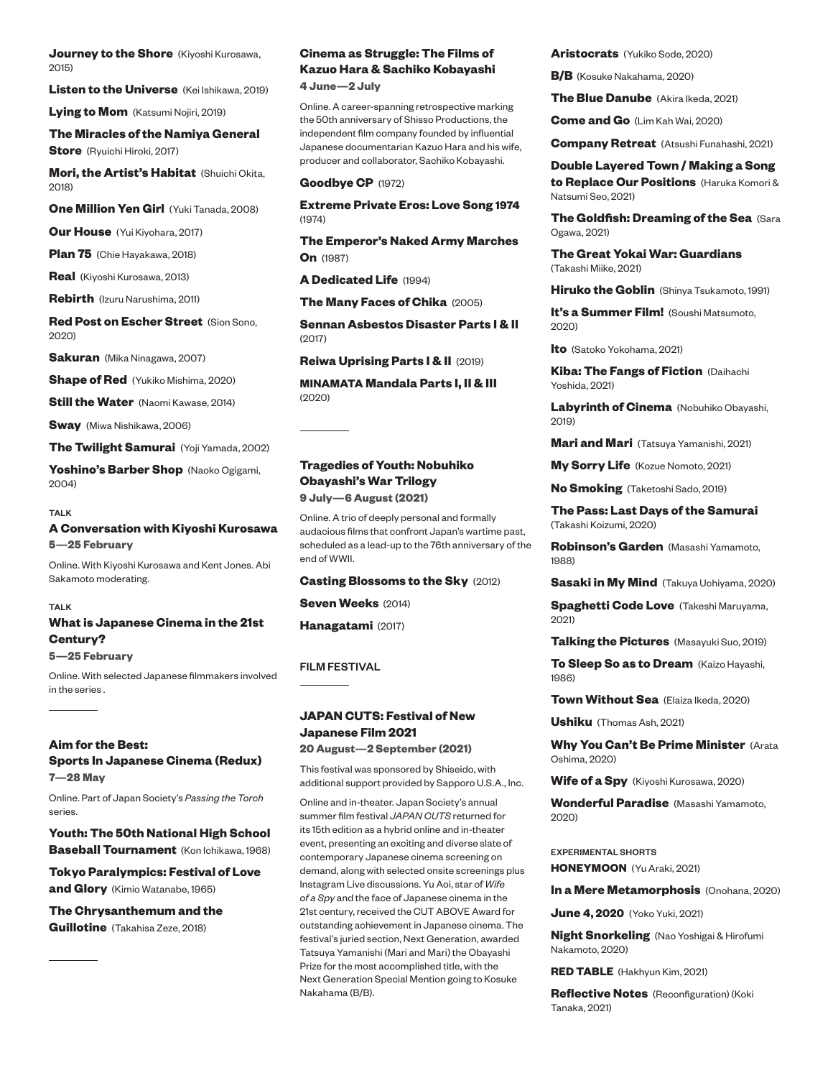**Journey to the Shore** (Kiyoshi Kurosawa, 2015)

**Listen to the Universe** (Kei Ishikawa, 2019)

**Lying to Mom** (Katsumi Nojiri, 2019)

**The Miracles of the Namiya General Store** (Ryuichi Hiroki, 2017)

**Mori, the Artist's Habitat** (Shuichi Okita, 2018)

**One Million Yen Girl** (Yuki Tanada, 2008)

**Our House** (Yui Kiyohara, 2017)

**Plan 75** (Chie Hayakawa, 2018)

**Real** (Kiyoshi Kurosawa, 2013)

**Rebirth** (Izuru Narushima, 2011)

**Red Post on Escher Street** (Sion Sono, 2020)

**Sakuran** (Mika Ninagawa, 2007)

**Shape of Red** (Yukiko Mishima, 2020)

**Still the Water** (Naomi Kawase, 2014)

**Sway** (Miwa Nishikawa, 2006)

**The Twilight Samurai** (Yoji Yamada, 2002)

**Yoshino's Barber Shop** (Naoko Ogigami, 2004)

#### TALK

#### **A Conversation with Kiyoshi Kurosawa 5—25 February**

Online. With Kiyoshi Kurosawa and Kent Jones. Abi Sakamoto moderating.

#### TALK

#### **What is Japanese Cinema in the 21st Century?**

**5—25 February**

Online. With selected Japanese filmmakers involved in the series .

#### **Aim for the Best:**

**Sports In Japanese Cinema (Redux) 7—28 May** 

Online. Part of Japan Society's *Passing the Torch* series.

**Youth: The 50th National High School Baseball Tournament** (Kon Ichikawa, 1968)

**Tokyo Paralympics: Festival of Love and Glory** (Kimio Watanabe, 1965)

**The Chrysanthemum and the Guillotine** (Takahisa Zeze, 2018)

### **Cinema as Struggle: The Films of Kazuo Hara & Sachiko Kobayashi**

**4 June—2 July** 

Online. A career-spanning retrospective marking the 50th anniversary of Shisso Productions, the independent film company founded by influential Japanese documentarian Kazuo Hara and his wife, producer and collaborator, Sachiko Kobayashi.

#### **Goodbye CP** (1972)

**Extreme Private Eros: Love Song 1974** (1974)

**The Emperor's Naked Army Marches On** (1987)

**A Dedicated Life** (1994)

**The Many Faces of Chika** (2005)

**Sennan Asbestos Disaster Parts I & II**  (2017)

**Reiwa Uprising Parts I & II** (2019)

**MINAMATA Mandala Parts I, II & III**  (2020)

### **Tragedies of Youth: Nobuhiko Obayashi's War Trilogy**

**9 July—6 August (2021)** 

Online. A trio of deeply personal and formally audacious films that confront Japan's wartime past, scheduled as a lead-up to the 76th anniversary of the end of WWII.

#### **Casting Blossoms to the Sky** (2012)

**Seven Weeks** (2014)

**Hanagatami** (2017)

#### FILM FESTIVAL

#### **JAPAN CUTS: Festival of New Japanese Film 2021**

**20 August—2 September (2021)**

This festival was sponsored by Shiseido, with additional support provided by Sapporo U.S.A., Inc.

Online and in-theater. Japan Society's annual summer film festival *JAPAN CUTS* returned for its 15th edition as a hybrid online and in-theater event, presenting an exciting and diverse slate of contemporary Japanese cinema screening on demand, along with selected onsite screenings plus Instagram Live discussions. Yu Aoi, star of *Wife of a Spy* and the face of Japanese cinema in the 21st century, received the CUT ABOVE Award for outstanding achievement in Japanese cinema. The festival's juried section, Next Generation, awarded Tatsuya Yamanishi (Mari and Mari) the Obayashi Prize for the most accomplished title, with the Next Generation Special Mention going to Kosuke Nakahama (B/B).

**Aristocrats** (Yukiko Sode, 2020)

**B/B** (Kosuke Nakahama, 2020)

**The Blue Danube** (Akira Ikeda, 2021)

**Come and Go** (Lim Kah Wai, 2020)

**Company Retreat** (Atsushi Funahashi, 2021)

#### **Double Layered Town / Making a Song**

**to Replace Our Positions** (Haruka Komori & Natsumi Seo, 2021)

**The Goldfish: Dreaming of the Sea** (Sara Ogawa, 2021)

**The Great Yokai War: Guardians**  (Takashi Miike, 2021)

**Hiruko the Goblin** (Shinya Tsukamoto, 1991)

**It's a Summer Film!** (Soushi Matsumoto, 2020)

**Ito** (Satoko Yokohama, 2021)

**Kiba: The Fangs of Fiction** (Daihachi Yoshida, 2021)

**Labyrinth of Cinema** (Nobuhiko Obayashi, 2019)

**Mari and Mari** (Tatsuya Yamanishi, 2021)

**My Sorry Life** (Kozue Nomoto, 2021)

**No Smoking** (Taketoshi Sado, 2019)

**The Pass: Last Days of the Samurai**  (Takashi Koizumi, 2020)

**Robinson's Garden** (Masashi Yamamoto, 1988)

**Sasaki in My Mind** (Takuya Uchiyama, 2020)

**Spaghetti Code Love** (Takeshi Maruyama, 2021)

**Talking the Pictures** (Masayuki Suo, 2019)

**To Sleep So as to Dream** (Kaizo Hayashi, 1986)

**Town Without Sea** (Elaiza Ikeda, 2020)

**Ushiku** (Thomas Ash, 2021)

**Why You Can't Be Prime Minister** (Arata Oshima, 2020)

**Wife of a Spy** (Kiyoshi Kurosawa, 2020)

**Wonderful Paradise** (Masashi Yamamoto, 2020)

EXPERIMENTAL SHORTS **HONEYMOON** (Yu Araki, 2021)

**In a Mere Metamorphosis** (Onohana, 2020)

**June 4, 2020** (Yoko Yuki, 2021)

**Night Snorkeling** (Nao Yoshigai & Hirofumi Nakamoto, 2020)

**RED TABLE** (Hakhyun Kim, 2021)

**Reflective Notes** (Reconfiguration) (Koki Tanaka, 2021)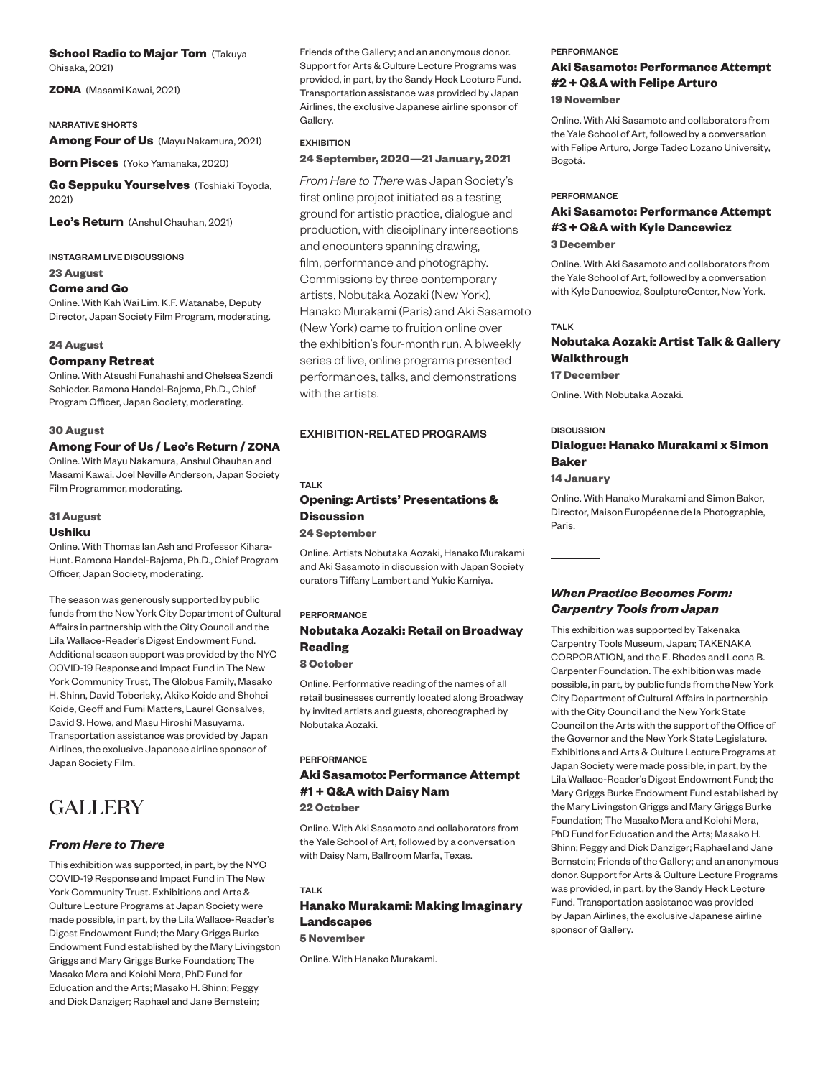### **School Radio to Major Tom (Takuya**

Chisaka, 2021)

**ZONA** (Masami Kawai, 2021)

#### NARRATIVE SHORTS

**Among Four of Us** (Mayu Nakamura, 2021)

**Born Pisces** (Yoko Yamanaka, 2020)

**Go Seppuku Yourselves** (Toshiaki Toyoda, 2021)

**Leo's Return** (Anshul Chauhan, 2021)

INSTAGRAM LIVE DISCUSSIONS

**23 August**

#### **Come and Go**

Online. With Kah Wai Lim. K.F. Watanabe, Deputy Director, Japan Society Film Program, moderating.

#### **24 August**

#### **Company Retreat**

Online. With Atsushi Funahashi and Chelsea Szendi Schieder. Ramona Handel-Bajema, Ph.D., Chief Program Officer, Japan Society, moderating.

#### **30 August**

#### **Among Four of Us / Leo's Return / ZONA**

Online. With Mayu Nakamura, Anshul Chauhan and Masami Kawai. Joel Neville Anderson, Japan Society Film Programmer, moderating.

#### **31 August**

#### **Ushiku**

Online. With Thomas Ian Ash and Professor Kihara-Hunt. Ramona Handel-Bajema, Ph.D., Chief Program Officer, Japan Society, moderating.

The season was generously supported by public funds from the New York City Department of Cultural Affairs in partnership with the City Council and the Lila Wallace-Reader's Digest Endowment Fund. Additional season support was provided by the NYC COVID-19 Response and Impact Fund in The New York Community Trust, The Globus Family, Masako H. Shinn, David Toberisky, Akiko Koide and Shohei Koide, Geoff and Fumi Matters, Laurel Gonsalves, David S. Howe, and Masu Hiroshi Masuyama. Transportation assistance was provided by Japan Airlines, the exclusive Japanese airline sponsor of Japan Society Film.

### GALLERY

#### *From Here to There*

This exhibition was supported, in part, by the NYC COVID-19 Response and Impact Fund in The New York Community Trust. Exhibitions and Arts & Culture Lecture Programs at Japan Society were made possible, in part, by the Lila Wallace-Reader's Digest Endowment Fund; the Mary Griggs Burke Endowment Fund established by the Mary Livingston Griggs and Mary Griggs Burke Foundation; The Masako Mera and Koichi Mera, PhD Fund for Education and the Arts; Masako H. Shinn; Peggy and Dick Danziger; Raphael and Jane Bernstein;

Friends of the Gallery; and an anonymous donor. Support for Arts & Culture Lecture Programs was provided, in part, by the Sandy Heck Lecture Fund. Transportation assistance was provided by Japan Airlines, the exclusive Japanese airline sponsor of Gallery.

#### EXHIBITION

#### **24 September, 2020—21 January, 2021**

*From Here to There* was Japan Society's first online project initiated as a testing ground for artistic practice, dialogue and production, with disciplinary intersections and encounters spanning drawing, film, performance and photography. Commissions by three contemporary artists, Nobutaka Aozaki (New York), Hanako Murakami (Paris) and Aki Sasamoto (New York) came to fruition online over the exhibition's four-month run. A biweekly series of live, online programs presented performances, talks, and demonstrations with the artists.

#### EXHIBITION-RELATED PROGRAMS

#### TAI K

#### **Opening: Artists' Presentations & Discussion**

**24 September**

Online. Artists Nobutaka Aozaki, Hanako Murakami and Aki Sasamoto in discussion with Japan Society curators Tiffany Lambert and Yukie Kamiya.

#### PERFORMANCE

#### **Nobutaka Aozaki: Retail on Broadway Reading 8 October**

Online. Performative reading of the names of all retail businesses currently located along Broadway by invited artists and guests, choreographed by Nobutaka Aozaki.

#### PERFORMANCE

#### **Aki Sasamoto: Performance Attempt #1 + Q&A with Daisy Nam 22 October**

Online. With Aki Sasamoto and collaborators from the Yale School of Art, followed by a conversation with Daisy Nam, Ballroom Marfa, Texas.

## TALK

#### **Hanako Murakami: Making Imaginary Landscapes**

**5 November**

Online. With Hanako Murakami.

#### **PERFORMANCE**

### **Aki Sasamoto: Performance Attempt #2 + Q&A with Felipe Arturo**

**19 November**

Online. With Aki Sasamoto and collaborators from the Yale School of Art, followed by a conversation with Felipe Arturo, Jorge Tadeo Lozano University, Bogotá.

#### **PERFORMANCE**

#### **Aki Sasamoto: Performance Attempt #3 + Q&A with Kyle Dancewicz 3 December**

Online. With Aki Sasamoto and collaborators from the Yale School of Art, followed by a conversation with Kyle Dancewicz, SculptureCenter, New York.

#### TALK

#### **Nobutaka Aozaki: Artist Talk & Gallery Walkthrough 17 December**

Online. With Nobutaka Aozaki.

#### **DISCUSSION**

#### **Dialogue: Hanako Murakami x Simon Baker**

**14 January**

Online. With Hanako Murakami and Simon Baker, Director, Maison Européenne de la Photographie, Paris.

#### *When Practice Becomes Form: Carpentry Tools from Japan*

This exhibition was supported by Takenaka Carpentry Tools Museum, Japan; TAKENAKA CORPORATION, and the E. Rhodes and Leona B. Carpenter Foundation. The exhibition was made possible, in part, by public funds from the New York City Department of Cultural Affairs in partnership with the City Council and the New York State Council on the Arts with the support of the Office of the Governor and the New York State Legislature. Exhibitions and Arts & Culture Lecture Programs at Japan Society were made possible, in part, by the Lila Wallace-Reader's Digest Endowment Fund; the Mary Griggs Burke Endowment Fund established by the Mary Livingston Griggs and Mary Griggs Burke Foundation; The Masako Mera and Koichi Mera, PhD Fund for Education and the Arts; Masako H. Shinn; Peggy and Dick Danziger; Raphael and Jane Bernstein; Friends of the Gallery; and an anonymous donor. Support for Arts & Culture Lecture Programs was provided, in part, by the Sandy Heck Lecture Fund. Transportation assistance was provided by Japan Airlines, the exclusive Japanese airline sponsor of Gallery.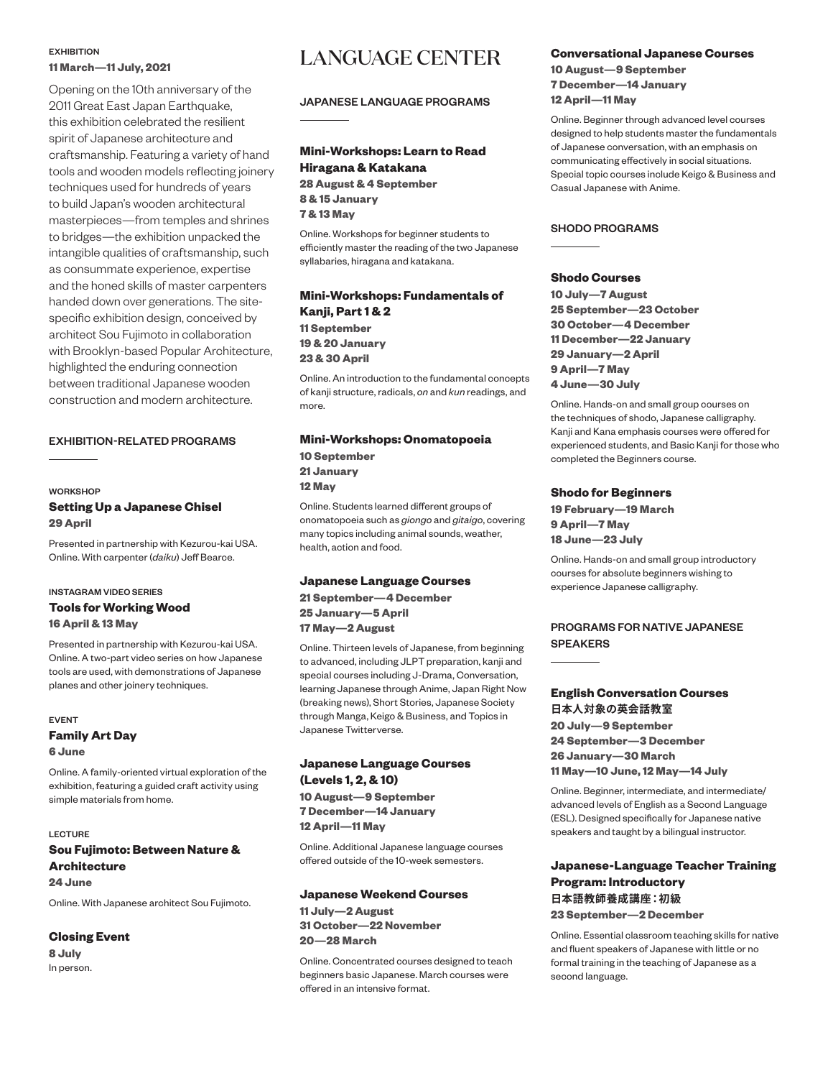#### **EXHIBITION 11 March—11 July, 2021**

Opening on the 10th anniversary of the 2011 Great East Japan Earthquake, this exhibition celebrated the resilient spirit of Japanese architecture and craftsmanship. Featuring a variety of hand tools and wooden models reflecting joinery techniques used for hundreds of years to build Japan's wooden architectural masterpieces—from temples and shrines to bridges—the exhibition unpacked the intangible qualities of craftsmanship, such as consummate experience, expertise and the honed skills of master carpenters handed down over generations. The sitespecific exhibition design, conceived by architect Sou Fujimoto in collaboration with Brooklyn-based Popular Architecture, highlighted the enduring connection between traditional Japanese wooden construction and modern architecture.

#### EXHIBITION-RELATED PROGRAMS

#### **WORKSHOP**

#### **Setting Up a Japanese Chisel 29 April**

Presented in partnership with Kezurou-kai USA. Online. With carpenter (*daiku*) Jeff Bearce.

#### INSTAGRAM VIDEO SERIES

#### **Tools for Working Wood 16 April & 13 May**

Presented in partnership with Kezurou-kai USA. Online. A two-part video series on how Japanese tools are used, with demonstrations of Japanese planes and other joinery techniques.

#### EVENT **Family Art Day**

**6 June**

Online. A family-oriented virtual exploration of the exhibition, featuring a guided craft activity using simple materials from home.

#### LECTURE

#### **Sou Fujimoto: Between Nature & Architecture 24 June**

Online. With Japanese architect Sou Fujimoto.

#### **Closing Event**

**8 July** In person.

## LANGUAGE CENTER

#### JAPANESE LANGUAGE PROGRAMS

#### **Mini-Workshops: Learn to Read Hiragana & Katakana 28 August & 4 September 8 & 15 January 7 & 13 May**

Online. Workshops for beginner students to efficiently master the reading of the two Japanese syllabaries, hiragana and katakana.

#### **Mini-Workshops: Fundamentals of Kanji, Part 1 & 2 11 September 19 & 20 January 23 & 30 April**

Online. An introduction to the fundamental concepts of kanji structure, radicals, *on* and *kun* readings, and more.

#### **Mini-Workshops: Onomatopoeia**

**10 September 21 January 12 May**

Online. Students learned different groups of onomatopoeia such as *giongo* and *gitaigo*, covering many topics including animal sounds, weather, health, action and food.

#### **Japanese Language Courses**

**21 September—4 December 25 January—5 April 17 May—2 August**

Online. Thirteen levels of Japanese, from beginning to advanced, including JLPT preparation, kanji and special courses including J-Drama, Conversation, learning Japanese through Anime, Japan Right Now (breaking news), Short Stories, Japanese Society through Manga, Keigo & Business, and Topics in Japanese Twitterverse.

#### **Japanese Language Courses (Levels 1, 2, & 10)**

**10 August—9 September 7 December—14 January 12 April—11 May**

Online. Additional Japanese language courses offered outside of the 10-week semesters.

#### **Japanese Weekend Courses**

**11 July—2 August 31 October—22 November 20—28 March**

Online. Concentrated courses designed to teach beginners basic Japanese. March courses were offered in an intensive format.

#### **Conversational Japanese Courses**

**10 August—9 September 7 December—14 January 12 April—11 May**

Online. Beginner through advanced level courses designed to help students master the fundamentals of Japanese conversation, with an emphasis on communicating effectively in social situations. Special topic courses include Keigo & Business and Casual Japanese with Anime.

#### SHODO PROGRAMS

#### **Shodo Courses**

**10 July—7 August 25 September—23 October 30 October—4 December 11 December—22 January 29 January—2 April 9 April—7 May 4 June—30 July** 

Online. Hands-on and small group courses on the techniques of shodo, Japanese calligraphy. Kanji and Kana emphasis courses were offered for experienced students, and Basic Kanji for those who completed the Beginners course.

#### **Shodo for Beginners**

**19 February—19 March 9 April—7 May 18 June—23 July**

Online. Hands-on and small group introductory courses for absolute beginners wishing to experience Japanese calligraphy.

#### PROGRAMS FOR NATIVE JAPANESE SPEAKERS

#### **English Conversation Courses 日本人対象の英会話教室**

**20 July—9 September 24 September—3 December 26 January—30 March 11 May—10 June, 12 May—14 July** 

Online. Beginner, intermediate, and intermediate/ advanced levels of English as a Second Language (ESL). Designed specifically for Japanese native speakers and taught by a bilingual instructor.

#### **Japanese-Language Teacher Training Program: Introductory 日本語教師養成講座:初級 23 September—2 December**

Online. Essential classroom teaching skills for native and fluent speakers of Japanese with little or no formal training in the teaching of Japanese as a second language.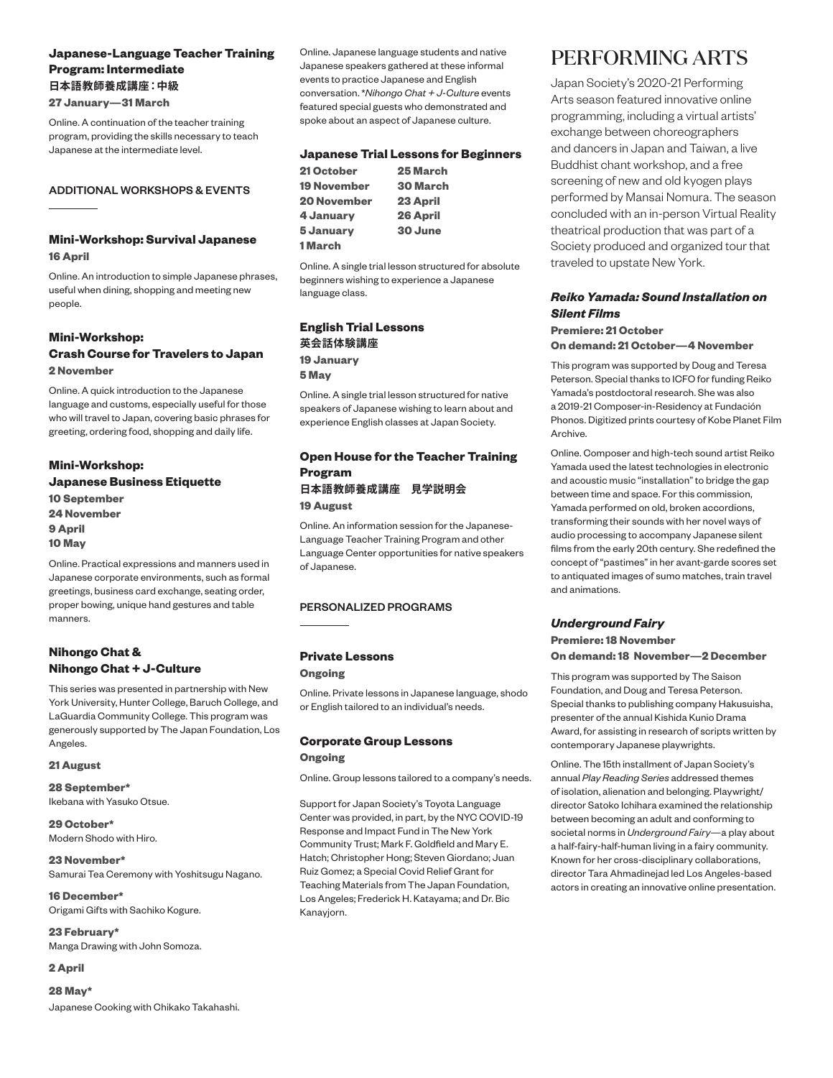#### **Japanese-Language Teacher Training Program: Intermediate 日本語教師養成講座:中級**

**27 January—31 March** 

Online. A continuation of the teacher training program, providing the skills necessary to teach Japanese at the intermediate level.

#### ADDITIONAL WORKSHOPS & EVENTS

### **Mini-Workshop: Survival Japanese**

**16 April**

Online. An introduction to simple Japanese phrases, useful when dining, shopping and meeting new people.

#### **Mini-Workshop:**

#### **Crash Course for Travelers to Japan 2 November**

Online. A quick introduction to the Japanese language and customs, especially useful for those who will travel to Japan, covering basic phrases for greeting, ordering food, shopping and daily life.

#### **Mini-Workshop: Japanese Business Etiquette 10 September 24 November 9 April**

**10 May** Online. Practical expressions and manners used in

Japanese corporate environments, such as formal greetings, business card exchange, seating order, proper bowing, unique hand gestures and table manners.

#### **Nihongo Chat & Nihongo Chat + J-Culture**

This series was presented in partnership with New York University, Hunter College, Baruch College, and LaGuardia Community College. This program was generously supported by The Japan Foundation, Los Angeles.

#### **21 August**

**28 September\***  Ikebana with Yasuko Otsue.

**29 October\***  Modern Shodo with Hiro.

**23 November\***  Samurai Tea Ceremony with Yoshitsugu Nagano.

**16 December\***  Origami Gifts with Sachiko Kogure.

**23 February\***  Manga Drawing with John Somoza.

#### **2 April**

**28 May\***  Japanese Cooking with Chikako Takahashi. Online. Japanese language students and native Japanese speakers gathered at these informal events to practice Japanese and English conversation. \**Nihongo Chat + J-Culture* events featured special guests who demonstrated and spoke about an aspect of Japanese culture.

#### **Japanese Trial Lessons for Beginners**

| 25 March        |
|-----------------|
| <b>30 March</b> |
| 23 April        |
| 26 April        |
| 30 June         |
|                 |
|                 |

Online. A single trial lesson structured for absolute beginners wishing to experience a Japanese language class.

#### **English Trial Lessons 英会話体験講座 19 January 5 May**

Online. A single trial lesson structured for native speakers of Japanese wishing to learn about and experience English classes at Japan Society.

#### **Open House for the Teacher Training Program 日本語教師養成講座 見学説明会 19 August**

Online. An information session for the Japanese-Language Teacher Training Program and other Language Center opportunities for native speakers of Japanese.

#### PERSONALIZED PROGRAMS

#### **Private Lessons**

#### **Ongoing**

Online. Private lessons in Japanese language, shodo or English tailored to an individual's needs.

#### **Corporate Group Lessons Ongoing**

Online. Group lessons tailored to a company's needs.

Support for Japan Society's Toyota Language Center was provided, in part, by the NYC COVID-19 Response and Impact Fund in The New York Community Trust; Mark F. Goldfield and Mary E. Hatch; Christopher Hong; Steven Giordano; Juan Ruiz Gomez; a Special Covid Relief Grant for Teaching Materials from The Japan Foundation, Los Angeles; Frederick H. Katayama; and Dr. Bic Kanayjorn.

## PERFORMING ARTS

Japan Society's 2020-21 Performing Arts season featured innovative online programming, including a virtual artists' exchange between choreographers and dancers in Japan and Taiwan, a live Buddhist chant workshop, and a free screening of new and old kyogen plays performed by Mansai Nomura. The season concluded with an in-person Virtual Reality theatrical production that was part of a Society produced and organized tour that traveled to upstate New York.

#### *Reiko Yamada: Sound Installation on Silent Films*

**Premiere: 21 October On demand: 21 October—4 November**

This program was supported by Doug and Teresa Peterson. Special thanks to ICFO for funding Reiko Yamada's postdoctoral research. She was also a 2019-21 Composer-in-Residency at Fundación Phonos. Digitized prints courtesy of Kobe Planet Film Archive.

Online. Composer and high-tech sound artist Reiko Yamada used the latest technologies in electronic and acoustic music "installation" to bridge the gap between time and space. For this commission, Yamada performed on old, broken accordions, transforming their sounds with her novel ways of audio processing to accompany Japanese silent films from the early 20th century. She redefined the concept of "pastimes" in her avant-garde scores set to antiquated images of sumo matches, train travel and animations.

#### *Underground Fairy*

**Premiere: 18 November On demand: 18 November—2 December**

This program was supported by The Saison Foundation, and Doug and Teresa Peterson. Special thanks to publishing company Hakusuisha, presenter of the annual Kishida Kunio Drama Award, for assisting in research of scripts written by contemporary Japanese playwrights.

Online. The 15th installment of Japan Society's annual *Play Reading Series* addressed themes of isolation, alienation and belonging. Playwright/ director Satoko Ichihara examined the relationship between becoming an adult and conforming to societal norms in *Underground Fairy*—a play about a half-fairy-half-human living in a fairy community. Known for her cross-disciplinary collaborations, director Tara Ahmadinejad led Los Angeles-based actors in creating an innovative online presentation.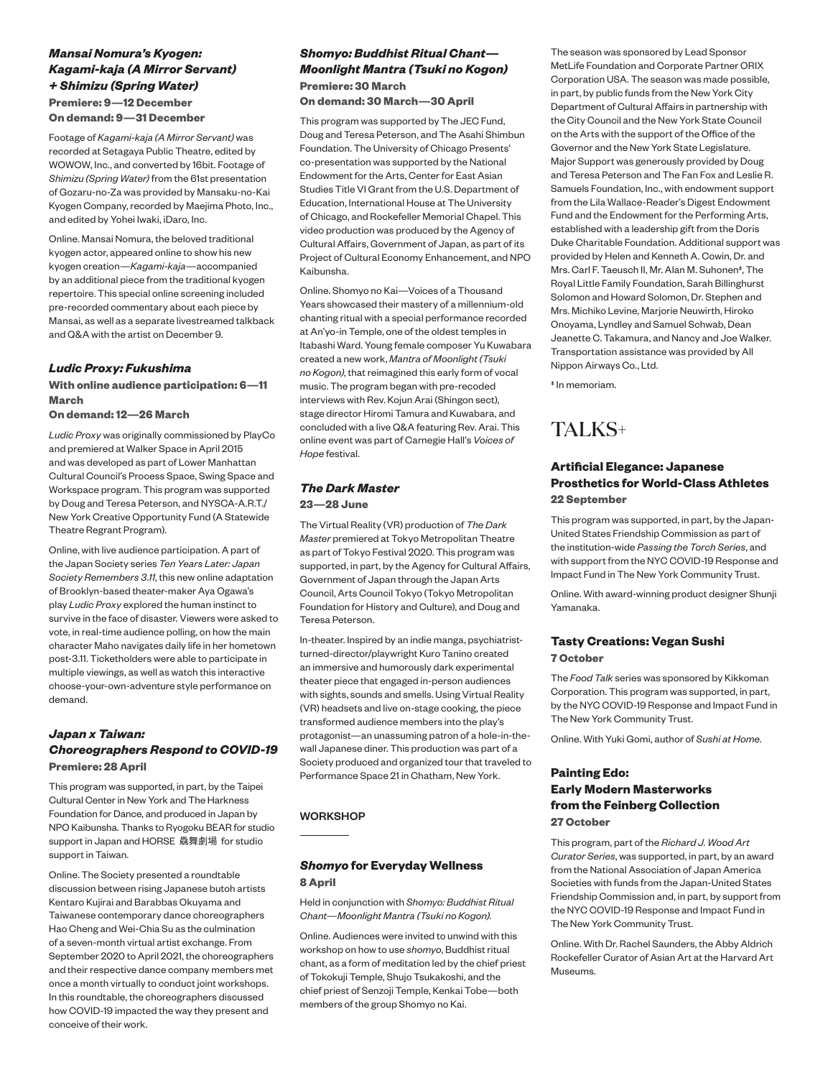#### *Mansai Nomura's Kyogen: Kagami-kaja (A Mirror Servant) + Shimizu (Spring Water)* **Premiere: 9—12 December**

**On demand: 9—31 December**

Footage of *Kagami-kaja (A Mirror Servant)* was recorded at Setagaya Public Theatre, edited by WOWOW, Inc., and converted by 16bit. Footage of *Shimizu (Spring Water)* from the 61st presentation of Gozaru-no-Za was provided by Mansaku-no-Kai Kyogen Company, recorded by Maejima Photo, Inc., and edited by Yohei Iwaki, iDaro, Inc.

Online. Mansai Nomura, the beloved traditional kyogen actor, appeared online to show his new kyogen creation—*Kagami-kaja*—accompanied by an additional piece from the traditional kyogen repertoire. This special online screening included pre-recorded commentary about each piece by Mansai, as well as a separate livestreamed talkback and Q&A with the artist on December 9.

#### *Ludic Proxy: Fukushima*

#### **With online audience participation: 6—11 March**

**On demand: 12—26 March**

*Ludic Proxy* was originally commissioned by PlayCo and premiered at Walker Space in April 2015 and was developed as part of Lower Manhattan Cultural Council's Process Space, Swing Space and Workspace program. This program was supported by Doug and Teresa Peterson, and NYSCA-A.R.T./ New York Creative Opportunity Fund (A Statewide Theatre Regrant Program).

Online, with live audience participation. A part of the Japan Society series *Ten Years Later: Japan Society Remembers 3.11*, this new online adaptation of Brooklyn-based theater-maker Aya Ogawa's play *Ludic Proxy* explored the human instinct to survive in the face of disaster. Viewers were asked to vote, in real-time audience polling, on how the main character Maho navigates daily life in her hometown post-3.11. Ticketholders were able to participate in multiple viewings, as well as watch this interactive choose-your-own-adventure style performance on demand.

#### *Japan x Taiwan: Choreographers Respond to COVID-19* **Premiere: 28 April**

This program was supported, in part, by the Taipei Cultural Center in New York and The Harkness Foundation for Dance, and produced in Japan by NPO Kaibunsha. Thanks to Ryogoku BEAR for studio support in Japan and HORSE 驫舞劇場 for studio support in Taiwan.

Online. The Society presented a roundtable discussion between rising Japanese butoh artists Kentaro Kujirai and Barabbas Okuyama and Taiwanese contemporary dance choreographers Hao Cheng and Wei-Chia Su as the culmination of a seven-month virtual artist exchange. From September 2020 to April 2021, the choreographers and their respective dance company members met once a month virtually to conduct joint workshops. In this roundtable, the choreographers discussed how COVID-19 impacted the way they present and conceive of their work.

#### *Shomyo: Buddhist Ritual Chant— Moonlight Mantra (Tsuki no Kogon)* **Premiere: 30 March**

**On demand: 30 March—30 April**

This program was supported by The JEC Fund, Doug and Teresa Peterson, and The Asahi Shimbun Foundation. The University of Chicago Presents' co-presentation was supported by the National Endowment for the Arts, Center for East Asian Studies Title VI Grant from the U.S. Department of Education, International House at The University of Chicago, and Rockefeller Memorial Chapel. This video production was produced by the Agency of Cultural Affairs, Government of Japan, as part of its Project of Cultural Economy Enhancement, and NPO Kaibunsha.

Online. Shomyo no Kai—Voices of a Thousand Years showcased their mastery of a millennium-old chanting ritual with a special performance recorded at An'yo-in Temple, one of the oldest temples in Itabashi Ward. Young female composer Yu Kuwabara created a new work, *Mantra of Moonlight (Tsuki no Kogon)*, that reimagined this early form of vocal music. The program began with pre-recoded interviews with Rev. Kojun Arai (Shingon sect), stage director Hiromi Tamura and Kuwabara, and concluded with a live Q&A featuring Rev. Arai. This online event was part of Carnegie Hall's *Voices of Hope* festival.

#### *The Dark Master*

#### **23—28 June**

The Virtual Reality (VR) production of *The Dark Master* premiered at Tokyo Metropolitan Theatre as part of Tokyo Festival 2020. This program was supported, in part, by the Agency for Cultural Affairs, Government of Japan through the Japan Arts Council, Arts Council Tokyo (Tokyo Metropolitan Foundation for History and Culture), and Doug and Teresa Peterson.

In-theater. Inspired by an indie manga, psychiatristturned-director/playwright Kuro Tanino created an immersive and humorously dark experimental theater piece that engaged in-person audiences with sights, sounds and smells. Using Virtual Reality (VR) headsets and live on-stage cooking, the piece transformed audience members into the play's protagonist—an unassuming patron of a hole-in-thewall Japanese diner. This production was part of a Society produced and organized tour that traveled to Performance Space 21 in Chatham, New York.

#### **WORKSHOP**

#### *Shomyo* **for Everyday Wellness 8 April**

Held in conjunction with *Shomyo: Buddhist Ritual Chant—Moonlight Mantra (Tsuki no Kogon).*

Online. Audiences were invited to unwind with this workshop on how to use *shomyo*, Buddhist ritual chant, as a form of meditation led by the chief priest of Tokokuji Temple, Shujo Tsukakoshi, and the chief priest of Senzoji Temple, Kenkai Tobe—both members of the group Shomyo no Kai.

The season was sponsored by Lead Sponsor MetLife Foundation and Corporate Partner ORIX Corporation USA. The season was made possible, in part, by public funds from the New York City Department of Cultural Affairs in partnership with the City Council and the New York State Council on the Arts with the support of the Office of the Governor and the New York State Legislature. Major Support was generously provided by Doug and Teresa Peterson and The Fan Fox and Leslie R. Samuels Foundation, Inc., with endowment support from the Lila Wallace-Reader's Digest Endowment Fund and the Endowment for the Performing Arts, established with a leadership gift from the Doris Duke Charitable Foundation. Additional support was provided by Helen and Kenneth A. Cowin, Dr. and Mrs. Carl F. Taeusch II, Mr. Alan M. Suhonen‡, The Royal Little Family Foundation, Sarah Billinghurst Solomon and Howard Solomon, Dr. Stephen and Mrs. Michiko Levine, Marjorie Neuwirth, Hiroko Onoyama, Lyndley and Samuel Schwab, Dean Jeanette C. Takamura, and Nancy and Joe Walker. Transportation assistance was provided by All Nippon Airways Co., Ltd.

‡ In memoriam.

### TALKS+

#### **Artificial Elegance: Japanese Prosthetics for World-Class Athletes 22 September**

This program was supported, in part, by the Japan-United States Friendship Commission as part of the institution-wide *Passing the Torch Series*, and with support from the NYC COVID-19 Response and Impact Fund in The New York Community Trust.

Online. With award-winning product designer Shunji Yamanaka.

#### **Tasty Creations: Vegan Sushi 7 October**

The *Food Talk* series was sponsored by Kikkoman Corporation. This program was supported, in part, by the NYC COVID-19 Response and Impact Fund in The New York Community Trust.

Online. With Yuki Gomi, author of *Sushi at Home*.

#### **Painting Edo: Early Modern Masterworks from the Feinberg Collection 27 October**

This program, part of the *Richard J. Wood Art Curator Series*, was supported, in part, by an award from the National Association of Japan America Societies with funds from the Japan-United States Friendship Commission and, in part, by support from the NYC COVID-19 Response and Impact Fund in The New York Community Trust.

Online. With Dr. Rachel Saunders, the Abby Aldrich Rockefeller Curator of Asian Art at the Harvard Art Museums.